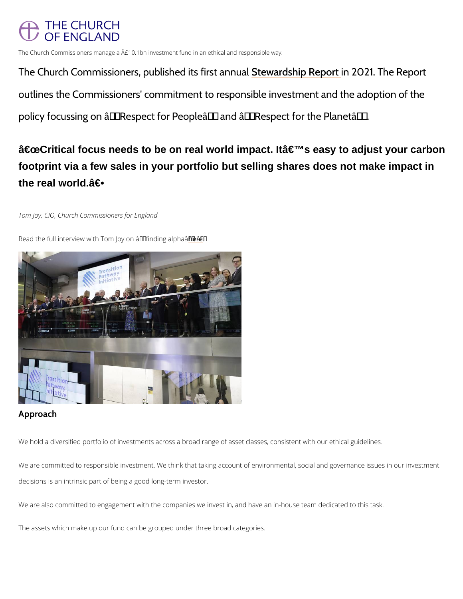# **THE CHURCH OF ENGLAND**

The Church Commissioners manage a  $\hat{A}E10.1$ bn investment fund in an ethical and responsible way.

The Church Commissioners, pubSitsehweadrdtshifpir Rte2p0o2nftuaThe Report in 2021. The Report in 2021. The Report in 2021. The Report in 2021. The Report in 2021. The Report in 2021. The Security Annual State and Annual St outlines the Commissioners' commitment to responsible inve policy focussing on  $\hat{a} \in \tilde{R}$  Respect for People $\hat{a} \in \tilde{R}$  and  $\hat{a} \in \tilde{R}$  Resp

 $\hat{a} \in \mathbb{C}$ critical focus needs to be on real world impact. It $\hat{a} \in \mathbb{T}^M$ s easy to adjust your carbon footprint via a few sales in your portfolio but selling shares does not make impact in the real world. $a \in \bullet$ 

Tom Joy, CIO, Church Commissioners for England

Read the full interview with Tom Jo[y o](https://www.top1000funds.com/2021/08/tom-joy-profile/)n  $\hat{a} \in \tilde{a}$  finding alpha $\hat{a} \in \tilde{a}$  and

# Approach

We hold a diversified portfolio of investments across a broad range of asset classes, consist

We are committed to responsible investment. We think that taking account of environmental,

decisions is an intrinsic part of being a good long-term investor.

We are also committed to engagement with the companies we invest in, and have an in-house

The assets which make up our fund can be grouped under three broad categories.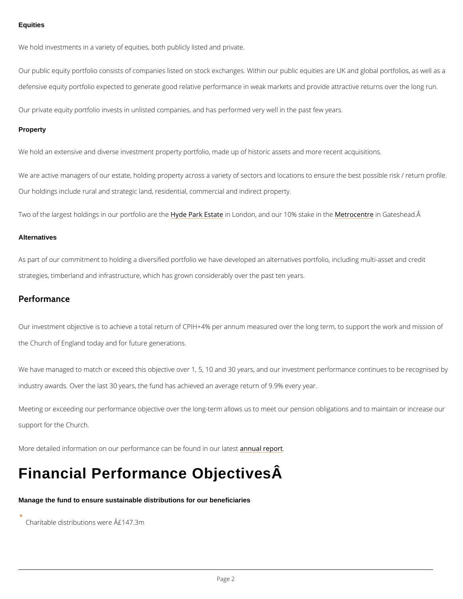#### **Equities**

We hold investments in a variety of equities, both publicly listed and private.

Our public equity portfolio consists of companies listed on stock exchanges. Within our publi defensive equity portfolio expected to generate good relative performance in weak markets a

Our private equity portfolio invests in unlisted companies, and has performed very well in th **Property** 

We hold an extensive and diverse investment property portfolio, made up of historic assets a

We are active managers of our estate, holding property across a variety of sectors and locat Our holdings include rural and strategic land, residential, commercial and indirect property.

Two of the largest holdings in o<del>ul</del>ly opter Park Extraction, and our 10% Metaok cenninter Geateshead. Â

#### **Alternatives**

As part of our commitment to holding a diversified portfolio we have developed an alternative strategies, timberland and infrastructure, which has grown considerably over the past ten ye

Our investment objective is to achieve a total return of CPIH+4% per annum measured over t the Church of England today and for future generations.

We have managed to match or exceed this objective over 1, 5, 10 and 30 years, and our inve industry awards. Over the last 30 years, the fund has achieved an average return of 9.9% ev

Meeting or exceeding our performance objective over the long-term allows us to meet our per support for the Church.

More detailed information on our performance **aamubed foundatin** our latest

## Performance

# Financial Performance Objectives

Manage the fund to ensure sustainable distributions for our beneficiaries

Charitable distributions were  $ÅE147.3m$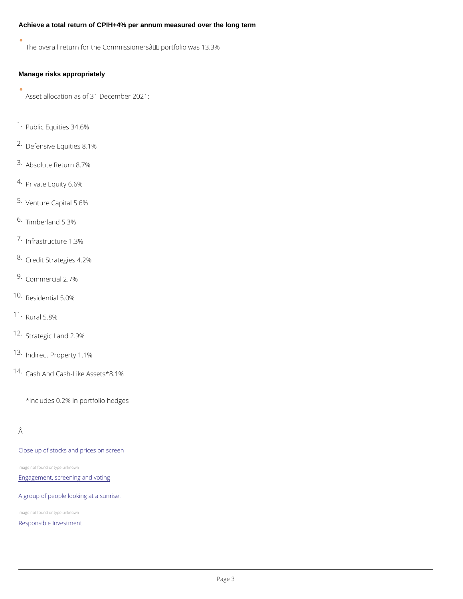Achieve a total return of CPIH+4% per annum measured over the long term

The overall return for the Commissioners $\hat{\mathbf{a}} \in \mathbb{M}$  portfolio was 13.3%

Manage risks appropriately

 $\bullet$ 

 $\bullet$ 

Asset allocation as of 31 December 2021:

1.Public Equities 34.6%

2.Defensive Equities 8.1%

3.Absolute Return 8.7%

4.Private Equity 6.6%

5.Venture Capital 5.6%

6.Timberland 5.3%

7.Infrastructure 1.3%

8.Credit Strategies 4.2%

9.Commercial 2.7%

10.Residential 5.0%

11.Rural 5.8%

12.Strategic Land 2.9%

13.Indirect Property 1.1%

14.Cash And Cash-Like Assets\*8.1%

\*Includes 0.2% in portfolio hedges

#### [Close up of stocks and prices on screen](/about/leadership-and-governance/church-commissioners-england/how-we-invest/engagement-screening-and)

Image not found or type unknown

#### Engagement, screening and voting

#### [A group of people looking at a sunrise.](/about/leadership-and-governance/church-commissioners-england/how-we-invest/responsible-investment-1)

Image not found or type unknown

Responsible Investment